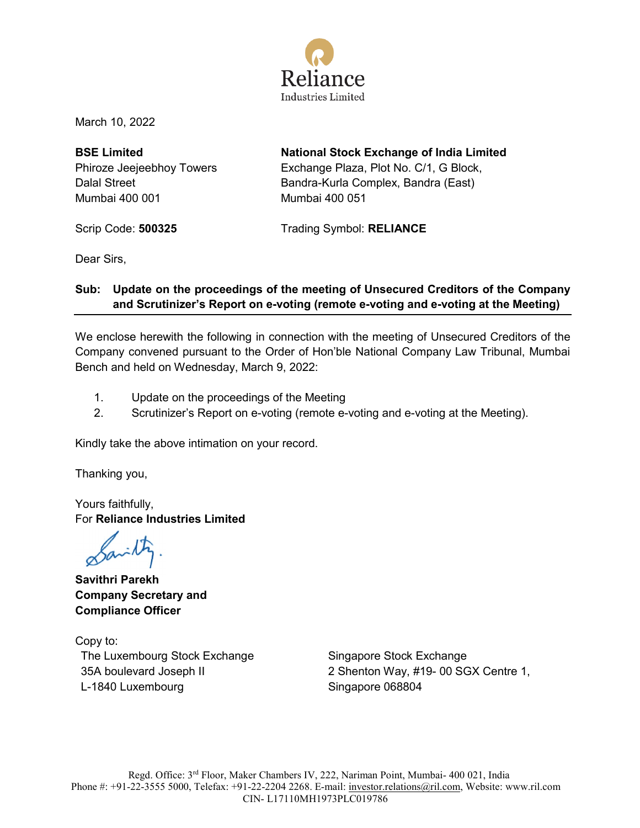

March 10, 2022

**BSE Limited** Phiroze Jeejeebhoy Towers Dalal Street Mumbai 400 001

**National Stock Exchange of India Limited** Exchange Plaza, Plot No. C/1, G Block, Bandra-Kurla Complex, Bandra (East) Mumbai 400 051

Scrip Code: **500325** Trading Symbol: **RELIANCE**

Dear Sirs,

### **Sub: Update on the proceedings of the meeting of Unsecured Creditors of the Company and Scrutinizer's Report on e-voting (remote e-voting and e-voting at the Meeting)**

We enclose herewith the following in connection with the meeting of Unsecured Creditors of the Company convened pursuant to the Order of Hon'ble National Company Law Tribunal, Mumbai Bench and held on Wednesday, March 9, 2022:

- 1. Update on the proceedings of the Meeting
- 2. Scrutinizer's Report on e-voting (remote e-voting and e-voting at the Meeting).

Kindly take the above intimation on your record.

Thanking you,

Yours faithfully, For **Reliance Industries Limited**

Savilty

**Savithri Parekh Company Secretary and Compliance Officer** 

Copy to: The Luxembourg Stock Exchange 35A boulevard Joseph II L-1840 Luxembourg

Singapore Stock Exchange 2 Shenton Way, #19- 00 SGX Centre 1, Singapore 068804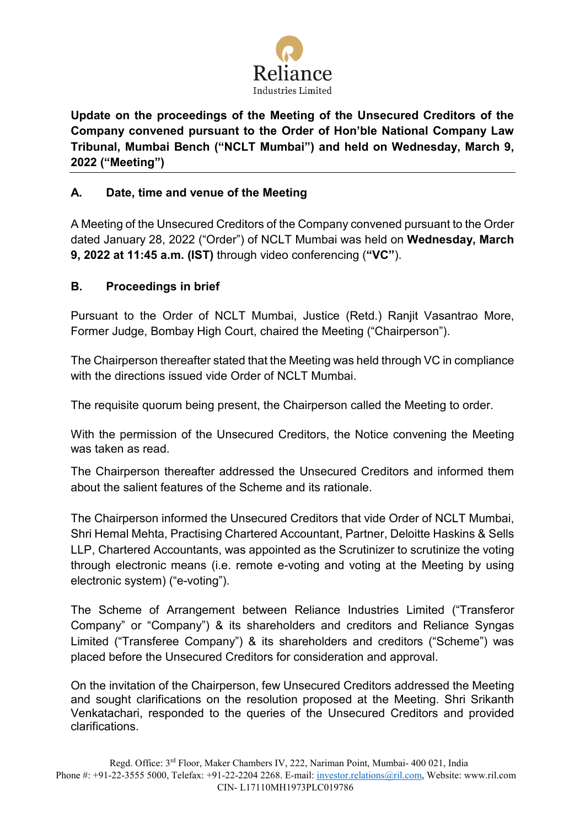

**Update on the proceedings of the Meeting of the Unsecured Creditors of the Company convened pursuant to the Order of Hon'ble National Company Law Tribunal, Mumbai Bench ("NCLT Mumbai") and held on Wednesday, March 9, 2022 ("Meeting")** 

## **A. Date, time and venue of the Meeting**

A Meeting of the Unsecured Creditors of the Company convened pursuant to the Order dated January 28, 2022 ("Order") of NCLT Mumbai was held on **Wednesday, March 9, 2022 at 11:45 a.m. (IST)** through video conferencing (**"VC"**).

### **B. Proceedings in brief**

Pursuant to the Order of NCLT Mumbai, Justice (Retd.) Ranjit Vasantrao More, Former Judge, Bombay High Court, chaired the Meeting ("Chairperson").

The Chairperson thereafter stated that the Meeting was held through VC in compliance with the directions issued vide Order of NCLT Mumbai.

The requisite quorum being present, the Chairperson called the Meeting to order.

With the permission of the Unsecured Creditors, the Notice convening the Meeting was taken as read.

The Chairperson thereafter addressed the Unsecured Creditors and informed them about the salient features of the Scheme and its rationale.

The Chairperson informed the Unsecured Creditors that vide Order of NCLT Mumbai, Shri Hemal Mehta, Practising Chartered Accountant, Partner, Deloitte Haskins & Sells LLP, Chartered Accountants, was appointed as the Scrutinizer to scrutinize the voting through electronic means (i.e. remote e-voting and voting at the Meeting by using electronic system) ("e-voting").

The Scheme of Arrangement between Reliance Industries Limited ("Transferor Company" or "Company") & its shareholders and creditors and Reliance Syngas Limited ("Transferee Company") & its shareholders and creditors ("Scheme") was placed before the Unsecured Creditors for consideration and approval.

On the invitation of the Chairperson, few Unsecured Creditors addressed the Meeting and sought clarifications on the resolution proposed at the Meeting. Shri Srikanth Venkatachari, responded to the queries of the Unsecured Creditors and provided clarifications.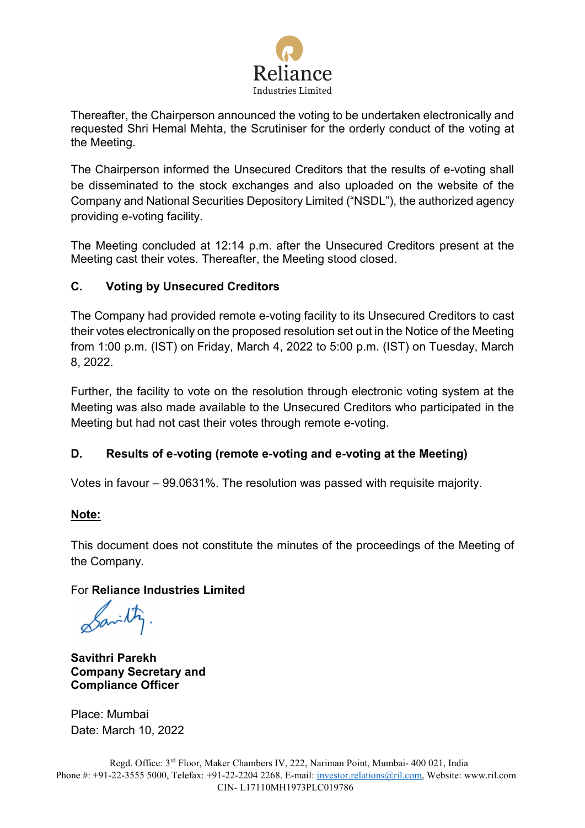

Thereafter, the Chairperson announced the voting to be undertaken electronically and requested Shri Hemal Mehta, the Scrutiniser for the orderly conduct of the voting at the Meeting.

The Chairperson informed the Unsecured Creditors that the results of e-voting shall be disseminated to the stock exchanges and also uploaded on the website of the Company and National Securities Depository Limited ("NSDL"), the authorized agency providing e-voting facility.

The Meeting concluded at 12:14 p.m. after the Unsecured Creditors present at the Meeting cast their votes. Thereafter, the Meeting stood closed.

# **C. Voting by Unsecured Creditors**

The Company had provided remote e-voting facility to its Unsecured Creditors to cast their votes electronically on the proposed resolution set out in the Notice of the Meeting from 1:00 p.m. (IST) on Friday, March 4, 2022 to 5:00 p.m. (IST) on Tuesday, March 8, 2022.

Further, the facility to vote on the resolution through electronic voting system at the Meeting was also made available to the Unsecured Creditors who participated in the Meeting but had not cast their votes through remote e-voting.

### **D. Results of e-voting (remote e-voting and e-voting at the Meeting)**

Votes in favour – 99.0631%. The resolution was passed with requisite majority.

### **Note:**

This document does not constitute the minutes of the proceedings of the Meeting of the Company.

### For **Reliance Industries Limited**

Savilty.

**Savithri Parekh Company Secretary and Compliance Officer**

Place: Mumbai Date: March 10, 2022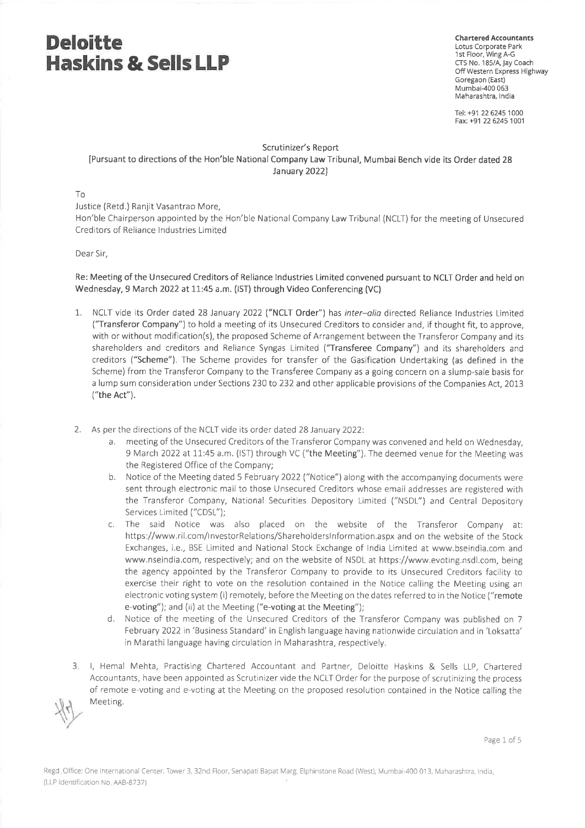**Chartered Accountants** Lotus Corporate Park 1st Floor, Wing A-G CTS No. 185/A, Jay Coach Off Western Express Highway Goregaon (East) Mumbai-400 063 Maharashtra, India

Tel: +91 22 6245 1000 Fax: +91 22 6245 1001

### Scrutinizer's Report [Pursuant to directions of the Hon'ble National Company Law Tribunal, Mumbai Bench vide its Order dated 28 January 2022]

To

Justice (Retd.) Ranjit Vasantrao More,

Hon'ble Chairperson appointed by the Hon'ble National Company Law Tribunal (NCLT) for the meeting of Unsecured Creditors of Reliance Industries Limited

#### Dear Sir,

Re: Meeting of the Unsecured Creditors of Reliance Industries Limited convened pursuant to NCLT Order and held on Wednesday, 9 March 2022 at 11:45 a.m. (IST) through Video Conferencing (VC)

- 1. NCLT vide its Order dated 28 January 2022 ("NCLT Order") has inter-alia directed Reliance Industries Limited ("Transferor Company") to hold a meeting of its Unsecured Creditors to consider and, if thought fit, to approve, with or without modification(s), the proposed Scheme of Arrangement between the Transferor Company and its shareholders and creditors and Reliance Syngas Limited ("Transferee Company") and its shareholders and creditors ("Scheme"). The Scheme provides for transfer of the Gasification Undertaking (as defined in the Scheme) from the Transferor Company to the Transferee Company as a going concern on a slump-sale basis for a lump sum consideration under Sections 230 to 232 and other applicable provisions of the Companies Act, 2013 ("the Act").
- 2. As per the directions of the NCLT vide its order dated 28 January 2022:
	- a. meeting of the Unsecured Creditors of the Transferor Company was convened and held on Wednesday. 9 March 2022 at 11:45 a.m. (IST) through VC ("the Meeting"). The deemed venue for the Meeting was the Registered Office of the Company;
	- b. Notice of the Meeting dated 5 February 2022 ("Notice") along with the accompanying documents were sent through electronic mail to those Unsecured Creditors whose email addresses are registered with the Transferor Company, National Securities Depository Limited ("NSDL") and Central Depository Services Limited ("CDSL");
	- The said Notice was also placed on the website of the Transferor Company at:  $C<sub>1</sub>$ https://www.ril.com/InvestorRelations/ShareholdersInformation.aspx and on the website of the Stock Exchanges, i.e., BSE Limited and National Stock Exchange of India Limited at www.bseindia.com and www.nseindia.com, respectively; and on the website of NSDL at https://www.evoting.nsdl.com, being the agency appointed by the Transferor Company to provide to its Unsecured Creditors facility to exercise their right to vote on the resolution contained in the Notice calling the Meeting using an electronic voting system (i) remotely, before the Meeting on the dates referred to in the Notice ("remote e-voting"); and (ii) at the Meeting ("e-voting at the Meeting");
	- d. Notice of the meeting of the Unsecured Creditors of the Transferor Company was published on 7 February 2022 in 'Business Standard' in English language having nationwide circulation and in 'Loksatta' in Marathi language having circulation in Maharashtra, respectively.
- 3. I, Hemal Mehta, Practising Chartered Accountant and Partner, Deloitte Haskins & Sells LLP, Chartered Accountants, have been appointed as Scrutinizer vide the NCLT Order for the purpose of scrutinizing the process of remote e-voting and e-voting at the Meeting on the proposed resolution contained in the Notice calling the Meeting.

Page 1 of 5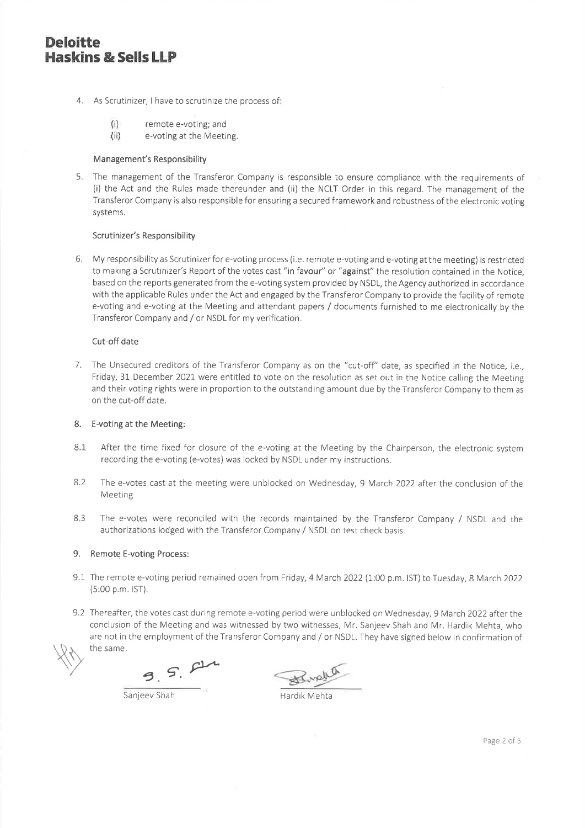- 4. As Scrutinizer, I have to scrutinize the process of:
	- $(i)$ remote e-voting; and
	- $(ii)$ e-voting at the Meeting.

#### Management's Responsibility

5. The management of the Transferor Company is responsible to ensure compliance with the requirements of (i) the Act and the Rules made thereunder and (ii) the NCLT Order in this regard. The management of the Transferor Company is also responsible for ensuring a secured framework and robustness of the electronic voting systems.

#### Scrutinizer's Responsibility

6. My responsibility as Scrutinizer for e-voting process (i.e. remote e-voting and e-voting at the meeting) is restricted to making a Scrutinizer's Report of the votes cast "in favour" or "against" the resolution contained in the Notice. based on the reports generated from the e-voting system provided by NSDL, the Agency authorized in accordance with the applicable Rules under the Act and engaged by the Transferor Company to provide the facility of remote e-voting and e-voting at the Meeting and attendant papers / documents furnished to me electronically by the Transferor Company and / or NSDL for my verification.

### Cut-off date

7. The Unsecured creditors of the Transferor Company as on the "cut-off" date, as specified in the Notice, i.e., Friday, 31 December 2021 were entitled to vote on the resolution as set out in the Notice calling the Meeting and their voting rights were in proportion to the outstanding amount due by the Transferor Company to them as on the cut-off date.

#### 8. E-voting at the Meeting:

- After the time fixed for closure of the e-voting at the Meeting by the Chairperson, the electronic system  $8.1$ recording the e-voting (e-votes) was locked by NSDL under my instructions.
- 8.2 The e-votes cast at the meeting were unblocked on Wednesday, 9 March 2022 after the conclusion of the Meeting
- 8,3 The e-votes were reconciled with the records maintained by the Transferor Company / NSDL and the authorizations lodged with the Transferor Company / NSDL on test check basis.

#### 9. Remote E-voting Process:

- 9.1 The remote e-voting period remained open from Friday, 4 March 2022 (1:00 p.m. IST) to Tuesday, 8 March 2022 (5:00 p.m. IST).
- 9.2 Thereafter, the votes cast during remote e-voting period were unblocked on Wednesday, 9 March 2022 after the conclusion of the Meeting and was witnessed by two witnesses, Mr. Sanjeev Shah and Mr. Hardik Mehta, who are not in the employment of the Transferor Company and / or NSDL. They have signed below in confirmation of the same.



3.5. AM

Sanjeev Shah

Bungles

Hardik Mehta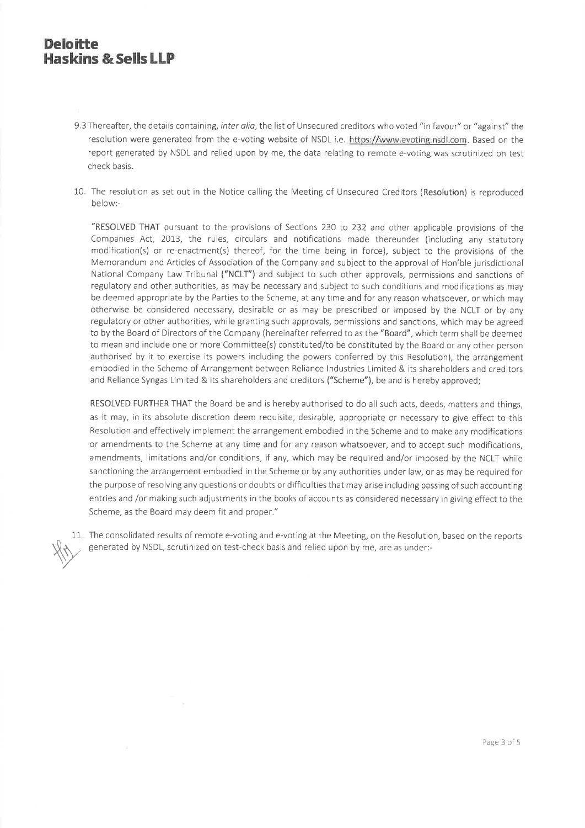- 9.3 Thereafter, the details containing, inter alia, the list of Unsecured creditors who voted "in favour" or "against" the resolution were generated from the e-voting website of NSDL i.e. https://www.evoting.nsdl.com. Based on the report generated by NSDL and relied upon by me, the data relating to remote e-voting was scrutinized on test check basis.
- 10. The resolution as set out in the Notice calling the Meeting of Unsecured Creditors (Resolution) is reproduced below:-

"RESOLVED THAT pursuant to the provisions of Sections 230 to 232 and other applicable provisions of the Companies Act, 2013, the rules, circulars and notifications made thereunder (including any statutory modification(s) or re-enactment(s) thereof, for the time being in force), subject to the provisions of the Memorandum and Articles of Association of the Company and subject to the approval of Hon'ble jurisdictional National Company Law Tribunal ("NCLT") and subject to such other approvals, permissions and sanctions of regulatory and other authorities, as may be necessary and subject to such conditions and modifications as may be deemed appropriate by the Parties to the Scheme, at any time and for any reason whatsoever, or which may otherwise be considered necessary, desirable or as may be prescribed or imposed by the NCLT or by any regulatory or other authorities, while granting such approvals, permissions and sanctions, which may be agreed to by the Board of Directors of the Company (hereinafter referred to as the "Board", which term shall be deemed to mean and include one or more Committee(s) constituted/to be constituted by the Board or any other person authorised by it to exercise its powers including the powers conferred by this Resolution), the arrangement embodied in the Scheme of Arrangement between Reliance Industries Limited & its shareholders and creditors and Reliance Syngas Limited & its shareholders and creditors ("Scheme"), be and is hereby approved;

RESOLVED FURTHER THAT the Board be and is hereby authorised to do all such acts, deeds, matters and things, as it may, in its absolute discretion deem requisite, desirable, appropriate or necessary to give effect to this Resolution and effectively implement the arrangement embodied in the Scheme and to make any modifications or amendments to the Scheme at any time and for any reason whatsoever, and to accept such modifications, amendments, limitations and/or conditions, if any, which may be required and/or imposed by the NCLT while sanctioning the arrangement embodied in the Scheme or by any authorities under law, or as may be required for the purpose of resolving any questions or doubts or difficulties that may arise including passing of such accounting entries and /or making such adjustments in the books of accounts as considered necessary in giving effect to the Scheme, as the Board may deem fit and proper."

11. The consolidated results of remote e-voting and e-voting at the Meeting, on the Resolution, based on the reports generated by NSDL, scrutinized on test-check basis and relied upon by me, are as under:-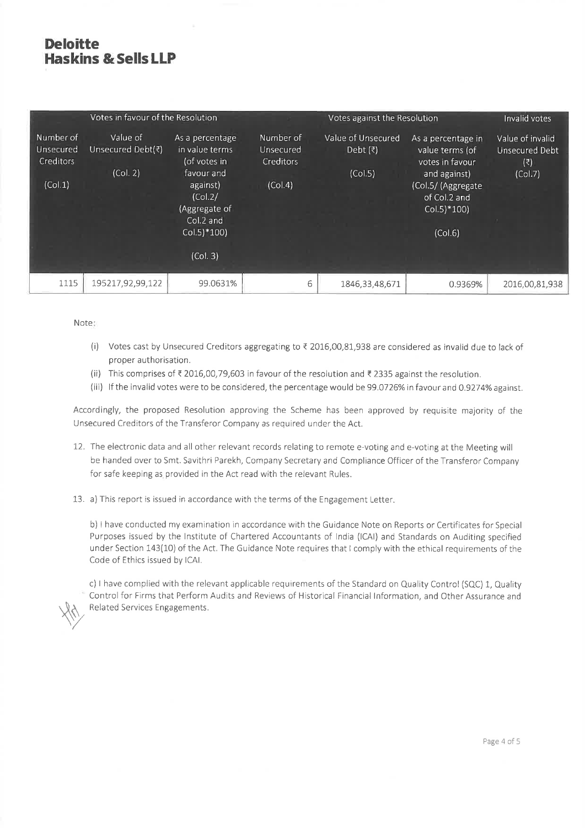| Votes in favour of the Resolution              |                                           |                                                                                                                                                               |                                                | Votes against the Resolution                 |                                                                                                                                                        | Invalid votes                                               |
|------------------------------------------------|-------------------------------------------|---------------------------------------------------------------------------------------------------------------------------------------------------------------|------------------------------------------------|----------------------------------------------|--------------------------------------------------------------------------------------------------------------------------------------------------------|-------------------------------------------------------------|
| Number of<br>Unsecured<br>Creditors<br>(Col.1) | Value of<br>Unsecured Debt(₹)<br>(Col. 2) | As a percentage<br>in value terms<br>(of votes in<br>favour and<br>against)<br>(Col.2/<br>(Aggregate of<br>Col.2 and<br>$Col.5$ <sup>*</sup> 100)<br>(Col. 3) | Number of<br>Unsecured<br>Creditors<br>(Col.4) | Value of Unsecured<br>Debt $($ ₹)<br>(Col.5) | As a percentage in<br>value terms (of<br>votes in favour<br>and against)<br>(Col.5/ (Aggregate<br>of Col.2 and<br>$Col.5$ <sup>*</sup> 100)<br>(Col.6) | Value of invalid<br><b>Unsecured Debt</b><br>(₹)<br>(Col.7) |
|                                                |                                           |                                                                                                                                                               |                                                |                                              |                                                                                                                                                        |                                                             |
| 1115                                           | 195217.92.99.122                          | 99.0631%                                                                                                                                                      | 6                                              | 1846, 33, 48, 671                            | 0.9369%                                                                                                                                                | 2016,00,81,938                                              |

Note:

- (i) Votes cast by Unsecured Creditors aggregating to ₹ 2016,00,81,938 are considered as invalid due to lack of proper authorisation.
- (ii) This comprises of  $\bar{\tau}$  2016,00,79,603 in favour of the resolution and  $\bar{\tau}$  2335 against the resolution.
- (iii) If the invalid votes were to be considered, the percentage would be 99.0726% in favour and 0.9274% against.

Accordingly, the proposed Resolution approving the Scheme has been approved by requisite majority of the Unsecured Creditors of the Transferor Company as required under the Act.

- 12. The electronic data and all other relevant records relating to remote e-voting and e-voting at the Meeting will be handed over to Smt. Savithri Parekh, Company Secretary and Compliance Officer of the Transferor Company for safe keeping as provided in the Act read with the relevant Rules.
- 13. a) This report is issued in accordance with the terms of the Engagement Letter.

b) I have conducted my examination in accordance with the Guidance Note on Reports or Certificates for Special Purposes issued by the Institute of Chartered Accountants of India (ICAI) and Standards on Auditing specified under Section 143(10) of the Act. The Guidance Note requires that I comply with the ethical requirements of the Code of Ethics issued by ICAI.

c) I have complied with the relevant applicable requirements of the Standard on Quality Control (SQC) 1, Quality Control for Firms that Perform Audits and Reviews of Historical Financial Information, and Other Assurance and Related Services Engagements.

Page 4 of 5